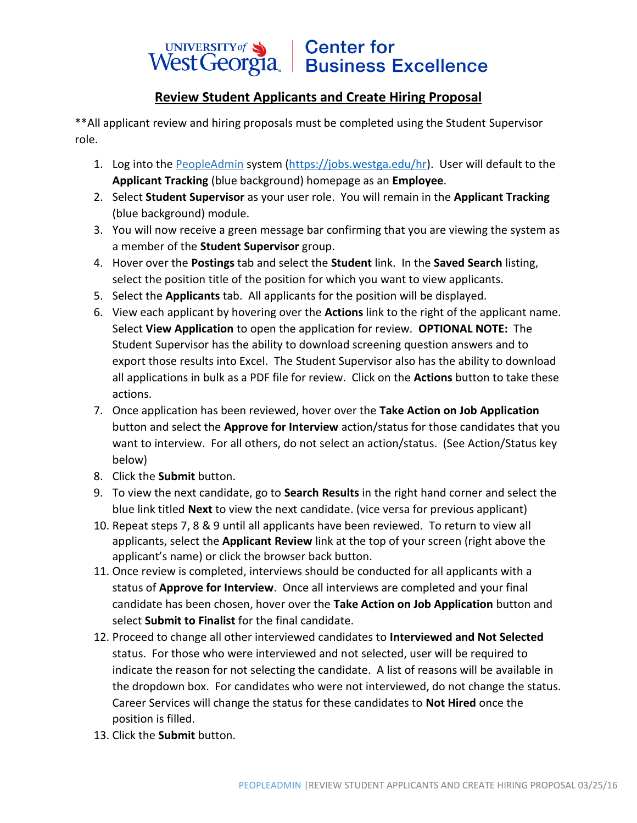## UNIVERSITY of State Center for West Georgia. Business Excellence

## **Review Student Applicants and Create Hiring Proposal**

\*\*All applicant review and hiring proposals must be completed using the Student Supervisor role.

- 1. Log into the [PeopleAdmin](https://jobs.westga.edu/hr/sessions/new) system [\(https://jobs.westga.edu/hr\)](https://jobs.westga.edu/hr). User will default to the **Applicant Tracking** (blue background) homepage as an **Employee**.
- 2. Select **Student Supervisor** as your user role. You will remain in the **Applicant Tracking** (blue background) module.
- 3. You will now receive a green message bar confirming that you are viewing the system as a member of the **Student Supervisor** group.
- 4. Hover over the **Postings** tab and select the **Student** link. In the **Saved Search** listing, select the position title of the position for which you want to view applicants.
- 5. Select the **Applicants** tab. All applicants for the position will be displayed.
- 6. View each applicant by hovering over the **Actions** link to the right of the applicant name. Select **View Application** to open the application for review. **OPTIONAL NOTE:** The Student Supervisor has the ability to download screening question answers and to export those results into Excel. The Student Supervisor also has the ability to download all applications in bulk as a PDF file for review. Click on the **Actions** button to take these actions.
- 7. Once application has been reviewed, hover over the **Take Action on Job Application** button and select the **Approve for Interview** action/status for those candidates that you want to interview. For all others, do not select an action/status. (See Action/Status key below)
- 8. Click the **Submit** button.
- 9. To view the next candidate, go to **Search Results** in the right hand corner and select the blue link titled **Next** to view the next candidate. (vice versa for previous applicant)
- 10. Repeat steps 7, 8 & 9 until all applicants have been reviewed. To return to view all applicants, select the **Applicant Review** link at the top of your screen (right above the applicant's name) or click the browser back button.
- 11. Once review is completed, interviews should be conducted for all applicants with a status of **Approve for Interview**. Once all interviews are completed and your final candidate has been chosen, hover over the **Take Action on Job Application** button and select **Submit to Finalist** for the final candidate.
- 12. Proceed to change all other interviewed candidates to **Interviewed and Not Selected** status. For those who were interviewed and not selected, user will be required to indicate the reason for not selecting the candidate. A list of reasons will be available in the dropdown box. For candidates who were not interviewed, do not change the status. Career Services will change the status for these candidates to **Not Hired** once the position is filled.
- 13. Click the **Submit** button.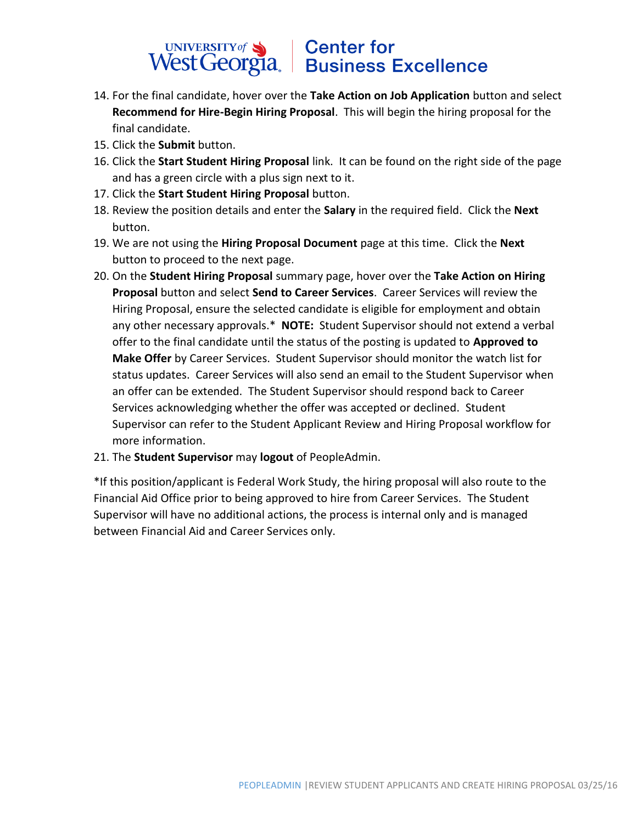## UNIVERSITY of Sand Center for<br>West Georgia. Business Excellence

- 14. For the final candidate, hover over the **Take Action on Job Application** button and select **Recommend for Hire-Begin Hiring Proposal**. This will begin the hiring proposal for the final candidate.
- 15. Click the **Submit** button.
- 16. Click the **Start Student Hiring Proposal** link. It can be found on the right side of the page and has a green circle with a plus sign next to it.
- 17. Click the **Start Student Hiring Proposal** button.
- 18. Review the position details and enter the **Salary** in the required field. Click the **Next** button.
- 19. We are not using the **Hiring Proposal Document** page at this time. Click the **Next** button to proceed to the next page.
- 20. On the **Student Hiring Proposal** summary page, hover over the **Take Action on Hiring Proposal** button and select **Send to Career Services**. Career Services will review the Hiring Proposal, ensure the selected candidate is eligible for employment and obtain any other necessary approvals.\* **NOTE:** Student Supervisor should not extend a verbal offer to the final candidate until the status of the posting is updated to **Approved to Make Offer** by Career Services. Student Supervisor should monitor the watch list for status updates. Career Services will also send an email to the Student Supervisor when an offer can be extended. The Student Supervisor should respond back to Career Services acknowledging whether the offer was accepted or declined. Student Supervisor can refer to the Student Applicant Review and Hiring Proposal workflow for more information.
- 21. The **Student Supervisor** may **logout** of PeopleAdmin.

\*If this position/applicant is Federal Work Study, the hiring proposal will also route to the Financial Aid Office prior to being approved to hire from Career Services. The Student Supervisor will have no additional actions, the process is internal only and is managed between Financial Aid and Career Services only.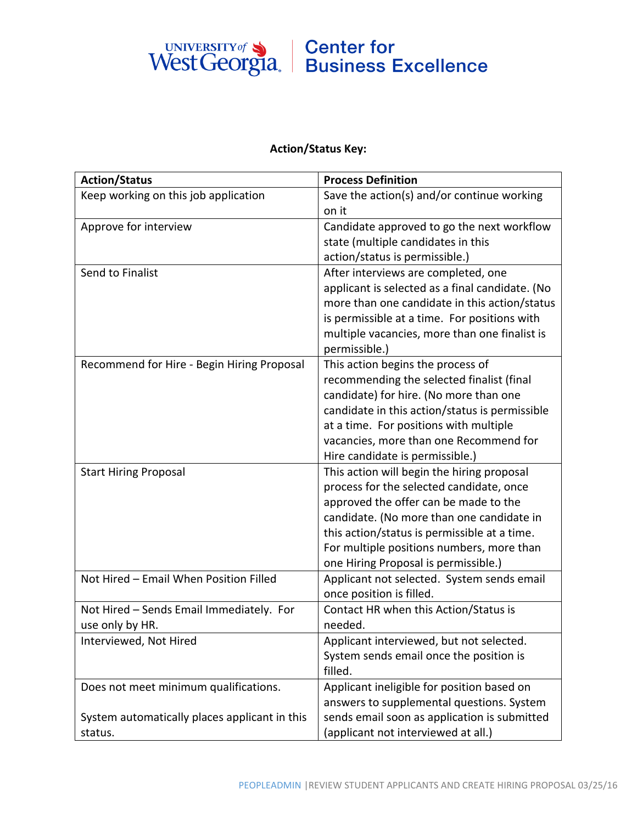

## **Action/Status Key:**

| <b>Action/Status</b>                          | <b>Process Definition</b>                       |
|-----------------------------------------------|-------------------------------------------------|
| Keep working on this job application          | Save the action(s) and/or continue working      |
|                                               | on it                                           |
| Approve for interview                         | Candidate approved to go the next workflow      |
|                                               | state (multiple candidates in this              |
|                                               | action/status is permissible.)                  |
| Send to Finalist                              | After interviews are completed, one             |
|                                               | applicant is selected as a final candidate. (No |
|                                               | more than one candidate in this action/status   |
|                                               | is permissible at a time. For positions with    |
|                                               | multiple vacancies, more than one finalist is   |
|                                               | permissible.)                                   |
| Recommend for Hire - Begin Hiring Proposal    | This action begins the process of               |
|                                               | recommending the selected finalist (final       |
|                                               | candidate) for hire. (No more than one          |
|                                               | candidate in this action/status is permissible  |
|                                               | at a time. For positions with multiple          |
|                                               | vacancies, more than one Recommend for          |
|                                               | Hire candidate is permissible.)                 |
| <b>Start Hiring Proposal</b>                  | This action will begin the hiring proposal      |
|                                               | process for the selected candidate, once        |
|                                               | approved the offer can be made to the           |
|                                               | candidate. (No more than one candidate in       |
|                                               | this action/status is permissible at a time.    |
|                                               | For multiple positions numbers, more than       |
|                                               | one Hiring Proposal is permissible.)            |
| Not Hired - Email When Position Filled        | Applicant not selected. System sends email      |
|                                               | once position is filled.                        |
| Not Hired - Sends Email Immediately. For      | Contact HR when this Action/Status is           |
| use only by HR.                               | needed.                                         |
| Interviewed, Not Hired                        | Applicant interviewed, but not selected.        |
|                                               | System sends email once the position is         |
|                                               | filled.                                         |
| Does not meet minimum qualifications.         | Applicant ineligible for position based on      |
|                                               | answers to supplemental questions. System       |
| System automatically places applicant in this | sends email soon as application is submitted    |
| status.                                       | (applicant not interviewed at all.)             |